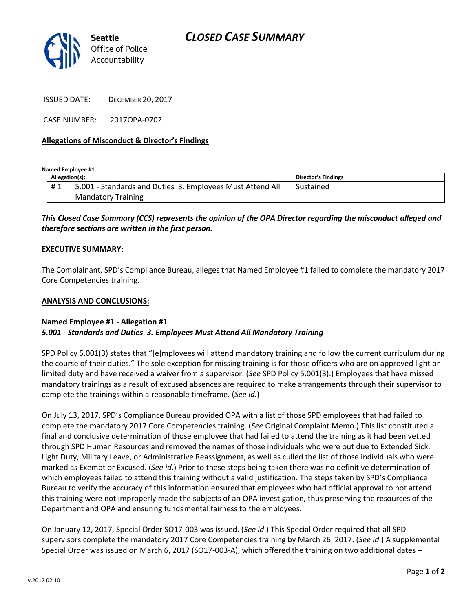

ISSUED DATE: DECEMBER 20, 2017

CASE NUMBER: 2017OPA-0702

### **Allegations of Misconduct & Director's Findings**

**Named Employee #1**

| Allegation(s): |                                                           | <b>Director's Findings</b> |
|----------------|-----------------------------------------------------------|----------------------------|
|                | 5.001 - Standards and Duties 3. Employees Must Attend All | Sustained                  |
|                | <b>Mandatory Training</b>                                 |                            |

## *This Closed Case Summary (CCS) represents the opinion of the OPA Director regarding the misconduct alleged and therefore sections are written in the first person.*

#### **EXECUTIVE SUMMARY:**

The Complainant, SPD's Compliance Bureau, alleges that Named Employee #1 failed to complete the mandatory 2017 Core Competencies training.

#### **ANALYSIS AND CONCLUSIONS:**

#### **Named Employee #1 - Allegation #1** *5.001 - Standards and Duties 3. Employees Must Attend All Mandatory Training*

SPD Policy 5.001(3) states that "[e]mployees will attend mandatory training and follow the current curriculum during the course of their duties." The sole exception for missing training is for those officers who are on approved light or limited duty and have received a waiver from a supervisor. (*See* SPD Policy 5.001(3).) Employees that have missed mandatory trainings as a result of excused absences are required to make arrangements through their supervisor to complete the trainings within a reasonable timeframe. (*See id.*)

On July 13, 2017, SPD's Compliance Bureau provided OPA with a list of those SPD employees that had failed to complete the mandatory 2017 Core Competencies training. (*See* Original Complaint Memo.) This list constituted a final and conclusive determination of those employee that had failed to attend the training as it had been vetted through SPD Human Resources and removed the names of those individuals who were out due to Extended Sick, Light Duty, Military Leave, or Administrative Reassignment, as well as culled the list of those individuals who were marked as Exempt or Excused. (*See id*.) Prior to these steps being taken there was no definitive determination of which employees failed to attend this training without a valid justification. The steps taken by SPD's Compliance Bureau to verify the accuracy of this information ensured that employees who had official approval to not attend this training were not improperly made the subjects of an OPA investigation, thus preserving the resources of the Department and OPA and ensuring fundamental fairness to the employees.

On January 12, 2017, Special Order SO17-003 was issued. (*See id*.) This Special Order required that all SPD supervisors complete the mandatory 2017 Core Competencies training by March 26, 2017. (*See id*.) A supplemental Special Order was issued on March 6, 2017 (SO17-003-A), which offered the training on two additional dates –